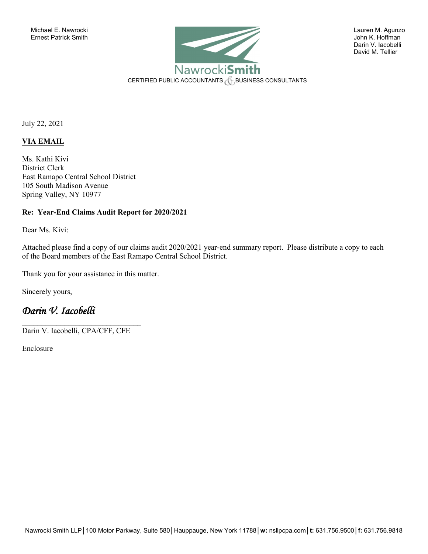

 Darin V. Iacobelli David M. Tellier

July 22, 2021

### **VIA EMAIL**

Ms. Kathi Kivi District Clerk East Ramapo Central School District 105 South Madison Avenue Spring Valley, NY 10977

#### **Re: Year-End Claims Audit Report for 2020/2021**

Dear Ms. Kivi:

Attached please find a copy of our claims audit 2020/2021 year-end summary report. Please distribute a copy to each of the Board members of the East Ramapo Central School District.

Thank you for your assistance in this matter.

Sincerely yours,

# *Darin V. Iacobelli*

 $\mathcal{L}_\text{max}$  , where  $\mathcal{L}_\text{max}$  and  $\mathcal{L}_\text{max}$  and  $\mathcal{L}_\text{max}$ Darin V. Iacobelli, CPA/CFF, CFE

Enclosure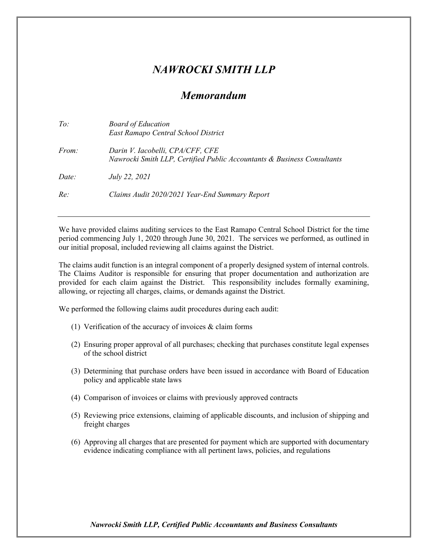# *NAWROCKI SMITH LLP*

## *Memorandum*

| East Ramapo Central School District                                                                                         |  |
|-----------------------------------------------------------------------------------------------------------------------------|--|
| Darin V. Iacobelli, CPA/CFF, CFE<br><i>From:</i><br>Nawrocki Smith LLP, Certified Public Accountants & Business Consultants |  |
| Date:<br>July 22, 2021                                                                                                      |  |
| Re:<br>Claims Audit 2020/2021 Year-End Summary Report                                                                       |  |

We have provided claims auditing services to the East Ramapo Central School District for the time period commencing July 1, 2020 through June 30, 2021. The services we performed, as outlined in our initial proposal, included reviewing all claims against the District.

The claims audit function is an integral component of a properly designed system of internal controls. The Claims Auditor is responsible for ensuring that proper documentation and authorization are provided for each claim against the District. This responsibility includes formally examining, allowing, or rejecting all charges, claims, or demands against the District.

We performed the following claims audit procedures during each audit:

- (1) Verification of the accuracy of invoices  $&$  claim forms
- (2) Ensuring proper approval of all purchases; checking that purchases constitute legal expenses of the school district
- (3) Determining that purchase orders have been issued in accordance with Board of Education policy and applicable state laws
- (4) Comparison of invoices or claims with previously approved contracts
- (5) Reviewing price extensions, claiming of applicable discounts, and inclusion of shipping and freight charges
- (6) Approving all charges that are presented for payment which are supported with documentary evidence indicating compliance with all pertinent laws, policies, and regulations

*Nawrocki Smith LLP, Certified Public Accountants and Business Consultants*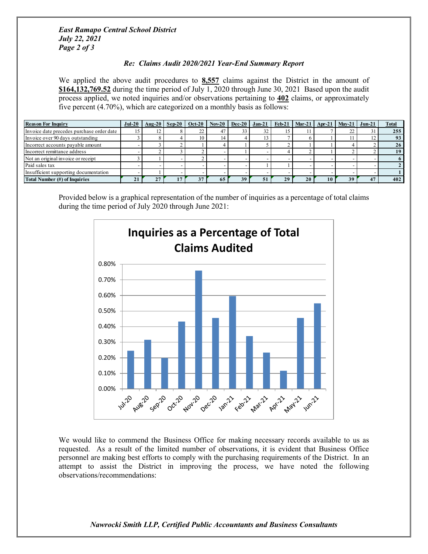*East Ramapo Central School District July 22, 2021 Page 2 of 3*

### *Re: Claims Audit 2020/2021 Year-End Summary Report*

We applied the above audit procedures to **8,557** claims against the District in the amount of **\$164,132,769.52** during the time period of July 1, 2020 through June 30, 2021 Based upon the audit process applied, we noted inquiries and/or observations pertaining to **402** claims, or approximately five percent (4.70%), which are categorized on a monthly basis as follows:

| <b>Reason For Inquiry</b>                 |    |    |  |    |    |    | Jul-20   Aug-20   Sep-20   Oct-20   Nov-20   Dec-20   Jan-21   Feb-21   Mar-21   Apr-21   May-21   Jun-21 |    |    | <b>Total</b> |
|-------------------------------------------|----|----|--|----|----|----|-----------------------------------------------------------------------------------------------------------|----|----|--------------|
| Invoice date precedes purchase order date |    | 12 |  |    | 32 |    |                                                                                                           |    | ∠∠ | 255          |
| Invoice over 90 days outstanding          |    |    |  | 14 |    |    |                                                                                                           |    |    | 93           |
| Incorrect accounts payable amount         |    |    |  |    |    |    |                                                                                                           |    |    | 26           |
| Incorrect remittance address              |    |    |  |    |    |    |                                                                                                           |    |    | 19           |
| Not an original invoice or receipt        |    |    |  |    |    |    |                                                                                                           |    |    |              |
| Paid sales tax                            |    |    |  |    |    |    |                                                                                                           |    |    |              |
| Insufficient supporting documentation     |    |    |  |    |    |    |                                                                                                           |    |    |              |
| Total Number (#) of Inquiries             | ΖI |    |  | 63 |    | 29 | 20                                                                                                        | 10 | 39 | 402          |

Provided below is a graphical representation of the number of inquiries as a percentage of total claims during the time period of July 2020 through June 2021:



We would like to commend the Business Office for making necessary records available to us as requested. As a result of the limited number of observations, it is evident that Business Office personnel are making best efforts to comply with the purchasing requirements of the District. In an attempt to assist the District in improving the process, we have noted the following observations/recommendations:

#### *Nawrocki Smith LLP, Certified Public Accountants and Business Consultants*